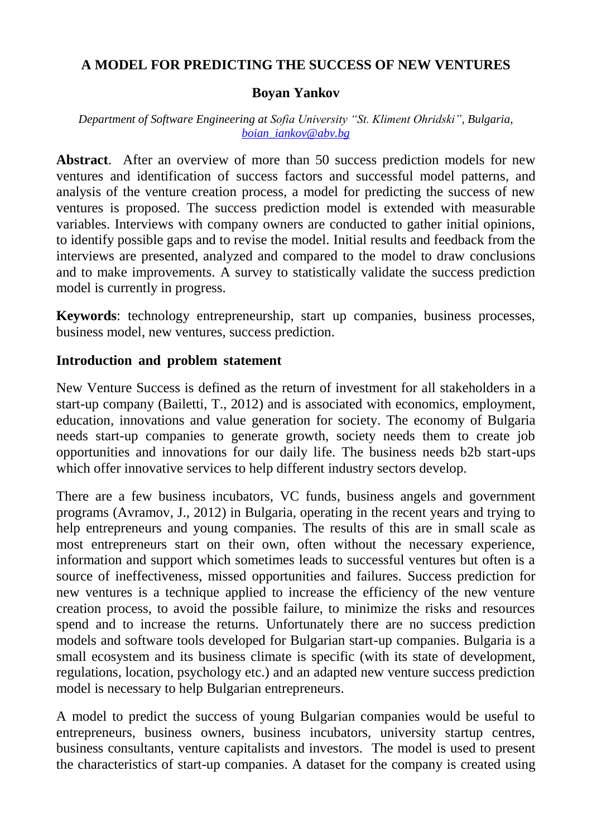# **A MODEL FOR PREDICTING THE SUCCESS OF NEW VENTURES**

## **Boyan Yankov**

#### *Department of Software Engineering at Sofia University "St. Kliment Ohridski", Bulgaria, [boian\\_iankov@abv.bg](mailto:boian_iankov@abv.bg)*

**Abstract**. After an overview of more than 50 success prediction models for new ventures and identification of success factors and successful model patterns, and analysis of the venture creation process, a model for predicting the success of new ventures is proposed. The success prediction model is extended with measurable variables. Interviews with company owners are conducted to gather initial opinions, to identify possible gaps and to revise the model. Initial results and feedback from the interviews are presented, analyzed and compared to the model to draw conclusions and to make improvements. A survey to statistically validate the success prediction model is currently in progress.

**Keywords**: technology entrepreneurship, start up companies, business processes, business model, new ventures, success prediction.

## **Introduction and problem statement**

New Venture Success is defined as the return of investment for all stakeholders in a start-up company (Bailetti, T., 2012) and is associated with economics, employment, education, innovations and value generation for society. The economy of Bulgaria needs start-up companies to generate growth, society needs them to create job opportunities and innovations for our daily life. The business needs b2b start-ups which offer innovative services to help different industry sectors develop.

There are a few business incubators, VC funds, business angels and government programs (Avramov, J., 2012) in Bulgaria, operating in the recent years and trying to help entrepreneurs and young companies. The results of this are in small scale as most entrepreneurs start on their own, often without the necessary experience, information and support which sometimes leads to successful ventures but often is a source of ineffectiveness, missed opportunities and failures. Success prediction for new ventures is a technique applied to increase the efficiency of the new venture creation process, to avoid the possible failure, to minimize the risks and resources spend and to increase the returns. Unfortunately there are no success prediction models and software tools developed for Bulgarian start-up companies. Bulgaria is a small ecosystem and its business climate is specific (with its state of development, regulations, location, psychology etc.) and an adapted new venture success prediction model is necessary to help Bulgarian entrepreneurs.

A model to predict the success of young Bulgarian companies would be useful to entrepreneurs, business owners, business incubators, university startup centres, business consultants, venture capitalists and investors. The model is used to present the characteristics of start-up companies. A dataset for the company is created using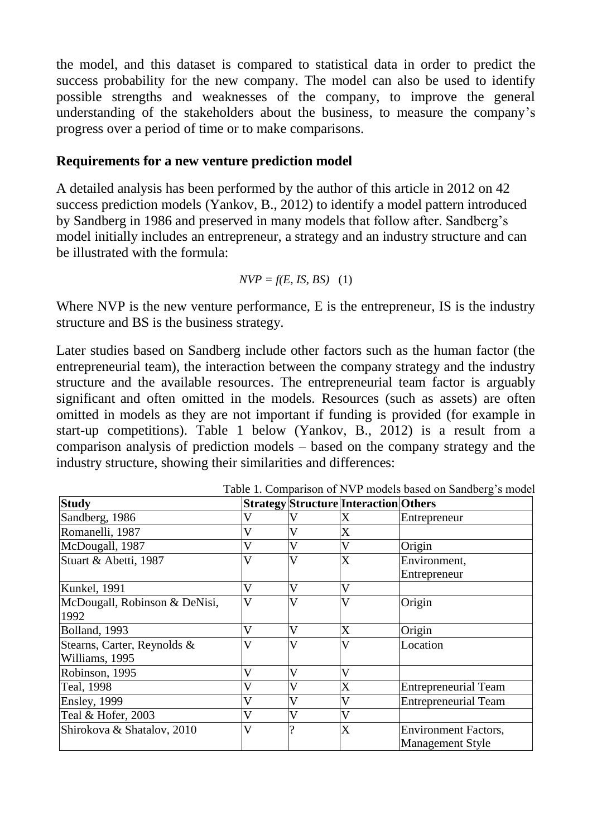the model, and this dataset is compared to statistical data in order to predict the success probability for the new company. The model can also be used to identify possible strengths and weaknesses of the company, to improve the general understanding of the stakeholders about the business, to measure the company"s progress over a period of time or to make comparisons.

## **Requirements for a new venture prediction model**

A detailed analysis has been performed by the author of this article in 2012 on 42 success prediction models (Yankov, B., 2012) to identify a model pattern introduced by Sandberg in 1986 and preserved in many models that follow after. Sandberg"s model initially includes an entrepreneur, a strategy and an industry structure and can be illustrated with the formula:

$$
NVP = f(E, IS, BS) \quad (1)
$$

Where NVP is the new venture performance, E is the entrepreneur, IS is the industry structure and BS is the business strategy.

Later studies based on Sandberg include other factors such as the human factor (the entrepreneurial team), the interaction between the company strategy and the industry structure and the available resources. The entrepreneurial team factor is arguably significant and often omitted in the models. Resources (such as assets) are often omitted in models as they are not important if funding is provided (for example in start-up competitions). Table 1 below (Yankov, B., 2012) is a result from a comparison analysis of prediction models – based on the company strategy and the industry structure, showing their similarities and differences:

| <b>Study</b>                  |                         |   | Strategy Structure Interaction Others |                             |
|-------------------------------|-------------------------|---|---------------------------------------|-----------------------------|
| Sandberg, 1986                |                         |   | X                                     | Entrepreneur                |
| Romanelli, 1987               |                         |   | X                                     |                             |
| McDougall, 1987               | V                       | V | V                                     | Origin                      |
| Stuart & Abetti, 1987         | V                       | V | $\boldsymbol{\mathrm{X}}$             | Environment,                |
|                               |                         |   |                                       | Entrepreneur                |
| <b>Kunkel</b> , 1991          | V                       | V | V                                     |                             |
| McDougall, Robinson & DeNisi, | V                       | V | $\overline{\mathsf{V}}$               | Origin                      |
| 1992                          |                         |   |                                       |                             |
| Bolland, 1993                 | V                       | V | X                                     | Origin                      |
| Stearns, Carter, Reynolds &   | $\overline{\mathsf{V}}$ | V | V                                     | Location                    |
| Williams, 1995                |                         |   |                                       |                             |
| Robinson, 1995                | V                       | V | V                                     |                             |
| Teal, 1998                    | V                       |   | X                                     | <b>Entrepreneurial Team</b> |
| <b>Ensley</b> , 1999          | V                       |   |                                       | <b>Entrepreneurial Team</b> |
| Teal & Hofer, 2003            | V                       | V | V                                     |                             |
| Shirokova & Shatalov, 2010    | V                       |   | X                                     | <b>Environment Factors,</b> |
|                               |                         |   |                                       | <b>Management Style</b>     |

Table 1. Comparison of NVP models based on Sandberg"s model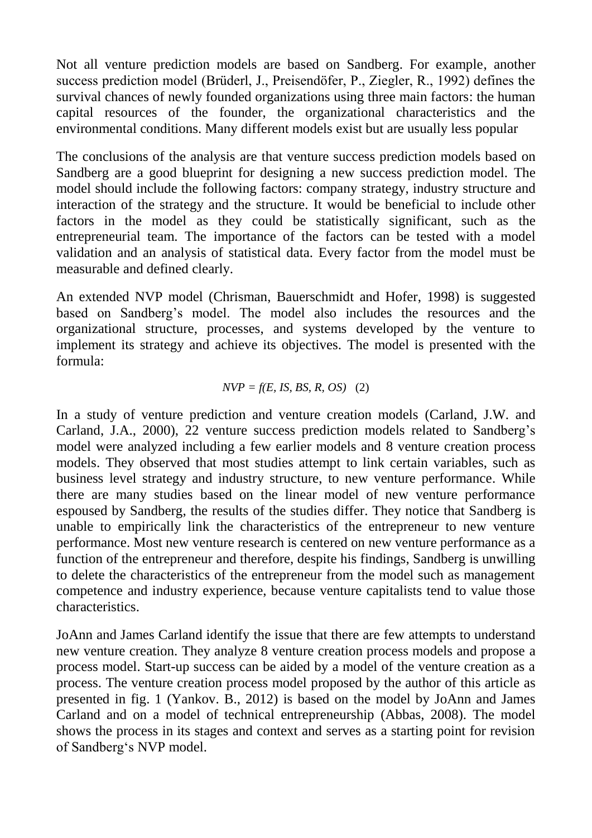Not all venture prediction models are based on Sandberg. For example, another success prediction model (Brüderl, J., Preisendöfer, P., Ziegler, R., 1992) defines the survival chances of newly founded organizations using three main factors: the human capital resources of the founder, the organizational characteristics and the environmental conditions. Many different models exist but are usually less popular

The conclusions of the analysis are that venture success prediction models based on Sandberg are a good blueprint for designing a new success prediction model. The model should include the following factors: company strategy, industry structure and interaction of the strategy and the structure. It would be beneficial to include other factors in the model as they could be statistically significant, such as the entrepreneurial team. The importance of the factors can be tested with a model validation and an analysis of statistical data. Every factor from the model must be measurable and defined clearly.

An extended NVP model (Chrisman, Bauerschmidt and Hofer, 1998) is suggested based on Sandberg"s model. The model also includes the resources and the organizational structure, processes, and systems developed by the venture to implement its strategy and achieve its objectives. The model is presented with the formula:

### $NVP = f(E, IS, BS, R, OS)$  (2)

In a study of venture prediction and venture creation models (Carland, J.W. and Carland, J.A., 2000), 22 venture success prediction models related to Sandberg"s model were analyzed including a few earlier models and 8 venture creation process models. They observed that most studies attempt to link certain variables, such as business level strategy and industry structure, to new venture performance. While there are many studies based on the linear model of new venture performance espoused by Sandberg, the results of the studies differ. They notice that Sandberg is unable to empirically link the characteristics of the entrepreneur to new venture performance. Most new venture research is centered on new venture performance as a function of the entrepreneur and therefore, despite his findings, Sandberg is unwilling to delete the characteristics of the entrepreneur from the model such as management competence and industry experience, because venture capitalists tend to value those characteristics.

JoAnn and James Carland identify the issue that there are few attempts to understand new venture creation. They analyze 8 venture creation process models and propose a process model. Start-up success can be aided by a model of the venture creation as a process. The venture creation process model proposed by the author of this article as presented in fig. 1 (Yankov. B., 2012) is based on the model by JoAnn and James Carland and on a model of technical entrepreneurship (Abbas, 2008). The model shows the process in its stages and context and serves as a starting point for revision of Sandberg"s NVP model.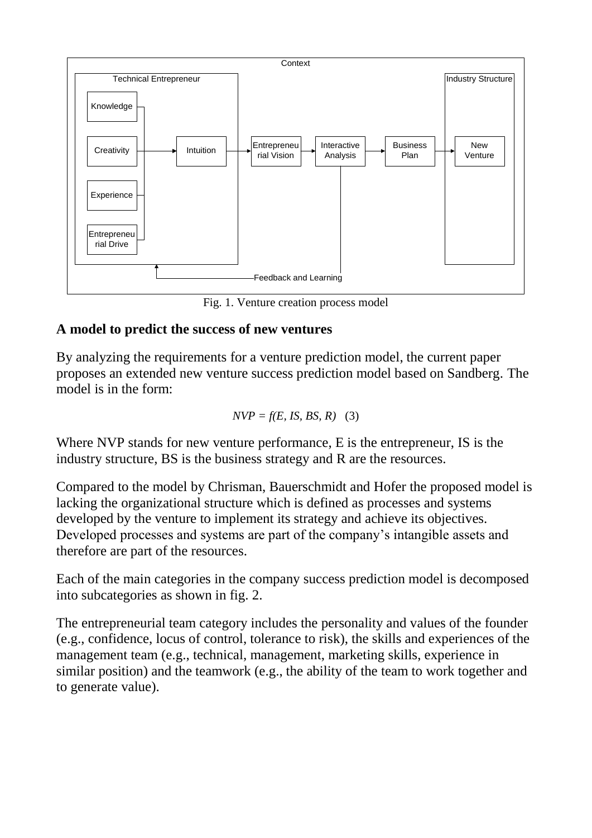

Fig. 1. Venture creation process model

## **A model to predict the success of new ventures**

By analyzing the requirements for a venture prediction model, the current paper proposes an extended new venture success prediction model based on Sandberg. The model is in the form:

$$
NVP = f(E, IS, BS, R) \quad (3)
$$

Where NVP stands for new venture performance, E is the entrepreneur, IS is the industry structure, BS is the business strategy and R are the resources.

Compared to the model by Chrisman, Bauerschmidt and Hofer the proposed model is lacking the organizational structure which is defined as processes and systems developed by the venture to implement its strategy and achieve its objectives. Developed processes and systems are part of the company"s intangible assets and therefore are part of the resources.

Each of the main categories in the company success prediction model is decomposed into subcategories as shown in fig. 2.

The entrepreneurial team category includes the personality and values of the founder (e.g., confidence, locus of control, tolerance to risk), the skills and experiences of the management team (e.g., technical, management, marketing skills, experience in similar position) and the teamwork (e.g., the ability of the team to work together and to generate value).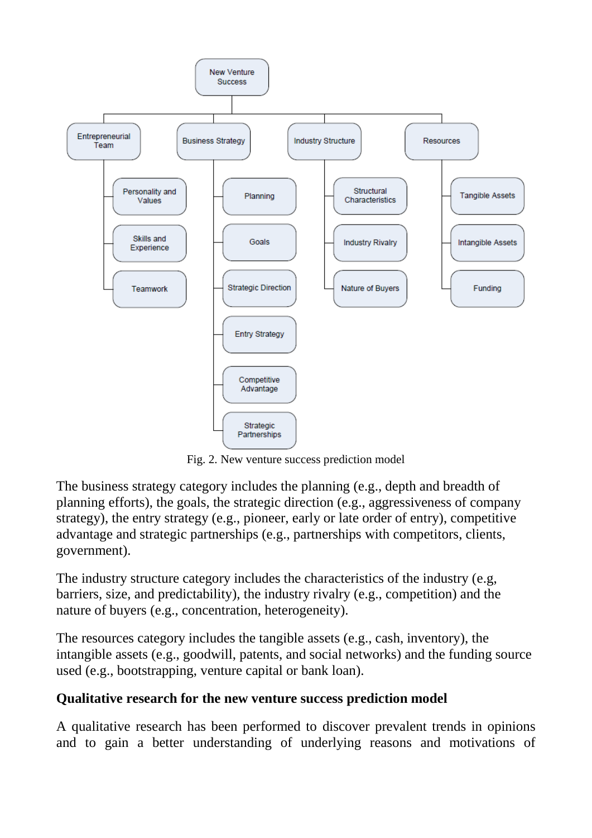

Fig. 2. New venture success prediction model

The business strategy category includes the planning (e.g., depth and breadth of planning efforts), the goals, the strategic direction (e.g., aggressiveness of company strategy), the entry strategy (e.g., pioneer, early or late order of entry), competitive advantage and strategic partnerships (e.g., partnerships with competitors, clients, government).

The industry structure category includes the characteristics of the industry (e.g, barriers, size, and predictability), the industry rivalry (e.g., competition) and the nature of buyers (e.g., concentration, heterogeneity).

The resources category includes the tangible assets (e.g., cash, inventory), the intangible assets (e.g., goodwill, patents, and social networks) and the funding source used (e.g., bootstrapping, venture capital or bank loan).

# **Qualitative research for the new venture success prediction model**

A qualitative research has been performed to discover prevalent trends in opinions and to gain a better understanding of underlying reasons and motivations of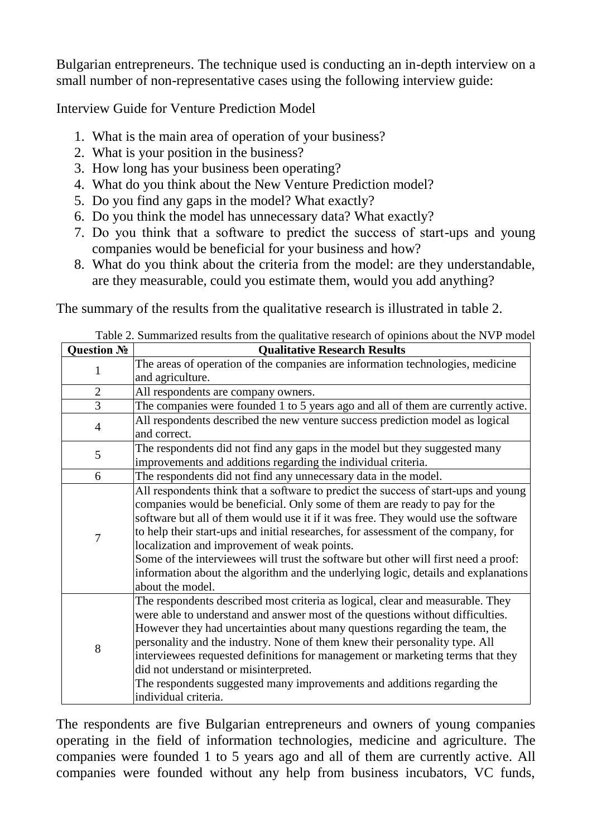Bulgarian entrepreneurs. The technique used is conducting an in-depth interview on a small number of non-representative cases using the following interview guide:

Interview Guide for Venture Prediction Model

- 1. What is the main area of operation of your business?
- 2. What is your position in the business?
- 3. How long has your business been operating?
- 4. What do you think about the New Venture Prediction model?
- 5. Do you find any gaps in the model? What exactly?
- 6. Do you think the model has unnecessary data? What exactly?
- 7. Do you think that а software to predict the success of start-ups and young companies would be beneficial for your business and how?
- 8. What do you think about the criteria from the model: are they understandable, are they measurable, could you estimate them, would you add anything?

The summary of the results from the qualitative research is illustrated in table 2.

| Question No    | <b>Qualitative Research Results</b>                                                 |
|----------------|-------------------------------------------------------------------------------------|
| 1              | The areas of operation of the companies are information technologies, medicine      |
|                | and agriculture.                                                                    |
| $\overline{2}$ | All respondents are company owners.                                                 |
| 3              | The companies were founded 1 to 5 years ago and all of them are currently active.   |
| $\overline{4}$ | All respondents described the new venture success prediction model as logical       |
|                | and correct.                                                                        |
| 5              | The respondents did not find any gaps in the model but they suggested many          |
|                | improvements and additions regarding the individual criteria.                       |
| 6              | The respondents did not find any unnecessary data in the model.                     |
| 7              | All respondents think that a software to predict the success of start-ups and young |
|                | companies would be beneficial. Only some of them are ready to pay for the           |
|                | software but all of them would use it if it was free. They would use the software   |
|                | to help their start-ups and initial researches, for assessment of the company, for  |
|                | localization and improvement of weak points.                                        |
|                | Some of the interviewees will trust the software but other will first need a proof: |
|                | information about the algorithm and the underlying logic, details and explanations  |
|                | about the model.                                                                    |
| 8              | The respondents described most criteria as logical, clear and measurable. They      |
|                | were able to understand and answer most of the questions without difficulties.      |
|                | However they had uncertainties about many questions regarding the team, the         |
|                | personality and the industry. None of them knew their personality type. All         |
|                | interviewees requested definitions for management or marketing terms that they      |
|                | did not understand or misinterpreted.                                               |
|                | The respondents suggested many improvements and additions regarding the             |
|                | individual criteria.                                                                |

Table 2. Summarized results from the qualitative research of opinions about the NVP model

The respondents are five Bulgarian entrepreneurs and owners of young companies operating in the field of information technologies, medicine and agriculture. The companies were founded 1 to 5 years ago and all of them are currently active. All companies were founded without any help from business incubators, VC funds,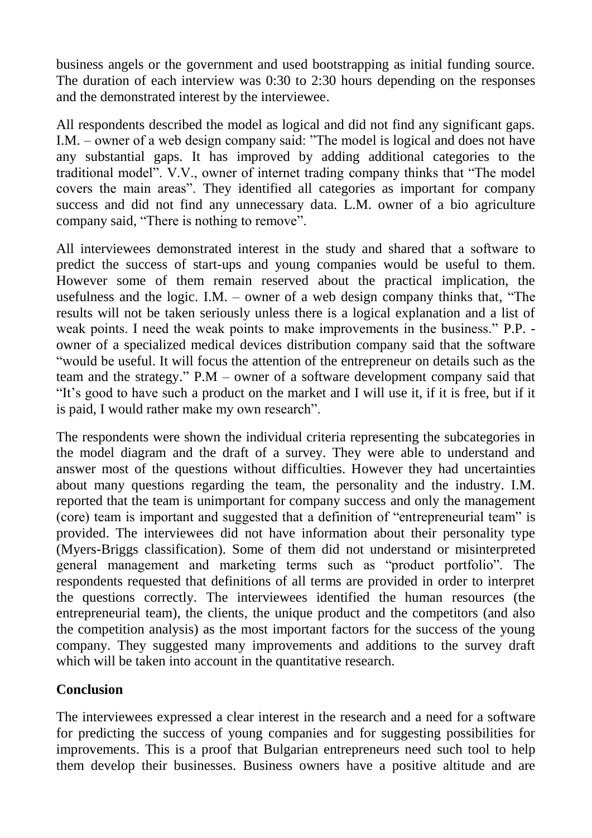business angels or the government and used bootstrapping as initial funding source. The duration of each interview was 0:30 to 2:30 hours depending on the responses and the demonstrated interest by the interviewee.

All respondents described the model as logical and did not find any significant gaps. I.M. – owner of a web design company said: "The model is logical and does not have any substantial gaps. It has improved by adding additional categories to the traditional model". V.V., owner of internet trading company thinks that "The model covers the main areas". They identified all categories as important for company success and did not find any unnecessary data. L.M. owner of a bio agriculture company said, "There is nothing to remove".

All interviewees demonstrated interest in the study and shared that а software to predict the success of start-ups and young companies would be useful to them. However some of them remain reserved about the practical implication, the usefulness and the logic. I.M. – owner of a web design company thinks that, "The results will not be taken seriously unless there is a logical explanation and a list of weak points. I need the weak points to make improvements in the business." P.P. owner of a specialized medical devices distribution company said that the software "would be useful. It will focus the attention of the entrepreneur on details such as the team and the strategy." P.M – owner of a software development company said that "It"s good to have such a product on the market and I will use it, if it is free, but if it is paid, I would rather make my own research".

The respondents were shown the individual criteria representing the subcategories in the model diagram and the draft of a survey. They were able to understand and answer most of the questions without difficulties. However they had uncertainties about many questions regarding the team, the personality and the industry. I.M. reported that the team is unimportant for company success and only the management (core) team is important and suggested that a definition of "entrepreneurial team" is provided. The interviewees did not have information about their personality type (Myers-Briggs classification). Some of them did not understand or misinterpreted general management and marketing terms such as "product portfolio". The respondents requested that definitions of all terms are provided in order to interpret the questions correctly. The interviewees identified the human resources (the entrepreneurial team), the clients, the unique product and the competitors (and also the competition analysis) as the most important factors for the success of the young company. They suggested many improvements and additions to the survey draft which will be taken into account in the quantitative research.

# **Conclusion**

The interviewees expressed a clear interest in the research and a need for a software for predicting the success of young companies and for suggesting possibilities for improvements. This is a proof that Bulgarian entrepreneurs need such tool to help them develop their businesses. Business owners have a positive altitude and are